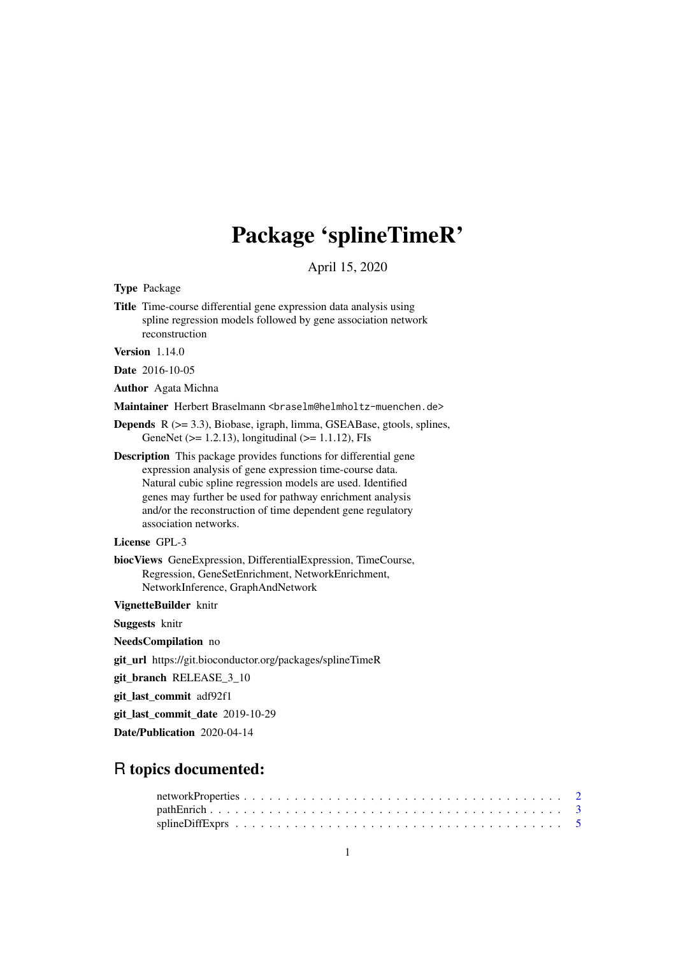## Package 'splineTimeR'

April 15, 2020

<span id="page-0-0"></span>Type Package

Title Time-course differential gene expression data analysis using spline regression models followed by gene association network reconstruction

Version 1.14.0

Date 2016-10-05

Author Agata Michna

Maintainer Herbert Braselmann <br />
traselm@helmholtz-muenchen.de>

Depends R (>= 3.3), Biobase, igraph, limma, GSEABase, gtools, splines, GeneNet ( $>= 1.2.13$ ), longitudinal ( $>= 1.1.12$ ), FIs

Description This package provides functions for differential gene expression analysis of gene expression time-course data. Natural cubic spline regression models are used. Identified genes may further be used for pathway enrichment analysis and/or the reconstruction of time dependent gene regulatory association networks.

#### License GPL-3

biocViews GeneExpression, DifferentialExpression, TimeCourse, Regression, GeneSetEnrichment, NetworkEnrichment, NetworkInference, GraphAndNetwork

VignetteBuilder knitr

Suggests knitr

NeedsCompilation no

git\_url https://git.bioconductor.org/packages/splineTimeR

git\_branch RELEASE\_3\_10

git\_last\_commit adf92f1

git last commit date 2019-10-29

Date/Publication 2020-04-14

### R topics documented: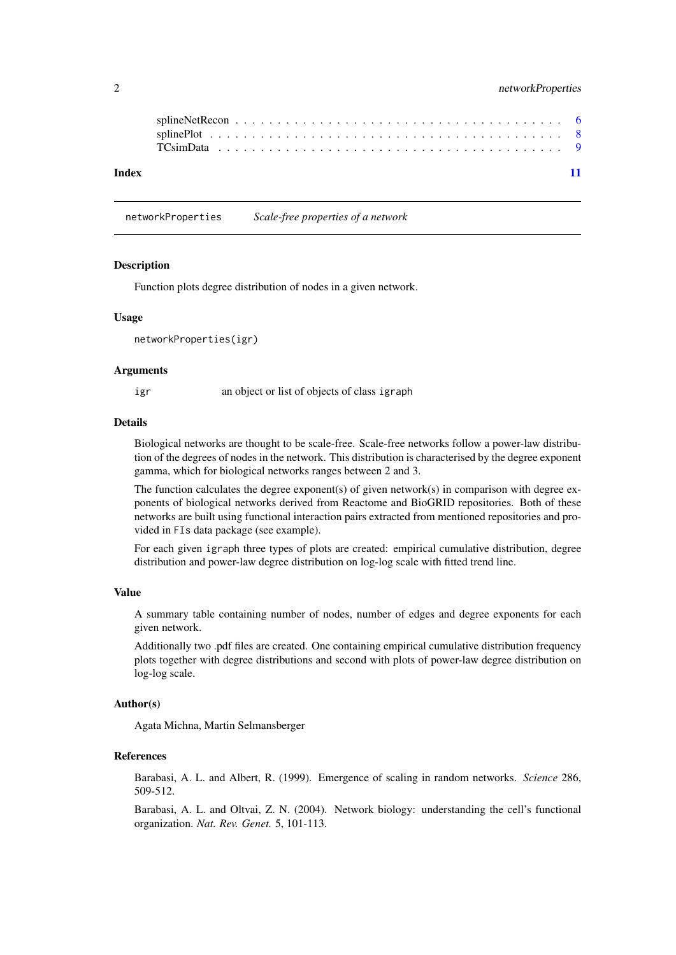#### <span id="page-1-0"></span>2 networkProperties

| Index |  |  |  |  |  |  |  |  |  |  |  |  |  |  |  |  |  |  |  |
|-------|--|--|--|--|--|--|--|--|--|--|--|--|--|--|--|--|--|--|--|

networkProperties *Scale-free properties of a network*

#### Description

Function plots degree distribution of nodes in a given network.

#### Usage

networkProperties(igr)

#### Arguments

igr an object or list of objects of class igraph

#### Details

Biological networks are thought to be scale-free. Scale-free networks follow a power-law distribution of the degrees of nodes in the network. This distribution is characterised by the degree exponent gamma, which for biological networks ranges between 2 and 3.

The function calculates the degree exponent(s) of given network(s) in comparison with degree exponents of biological networks derived from Reactome and BioGRID repositories. Both of these networks are built using functional interaction pairs extracted from mentioned repositories and provided in FIs data package (see example).

For each given igraph three types of plots are created: empirical cumulative distribution, degree distribution and power-law degree distribution on log-log scale with fitted trend line.

#### Value

A summary table containing number of nodes, number of edges and degree exponents for each given network.

Additionally two .pdf files are created. One containing empirical cumulative distribution frequency plots together with degree distributions and second with plots of power-law degree distribution on log-log scale.

#### Author(s)

Agata Michna, Martin Selmansberger

#### References

Barabasi, A. L. and Albert, R. (1999). Emergence of scaling in random networks. *Science* 286, 509-512.

Barabasi, A. L. and Oltvai, Z. N. (2004). Network biology: understanding the cell's functional organization. *Nat. Rev. Genet.* 5, 101-113.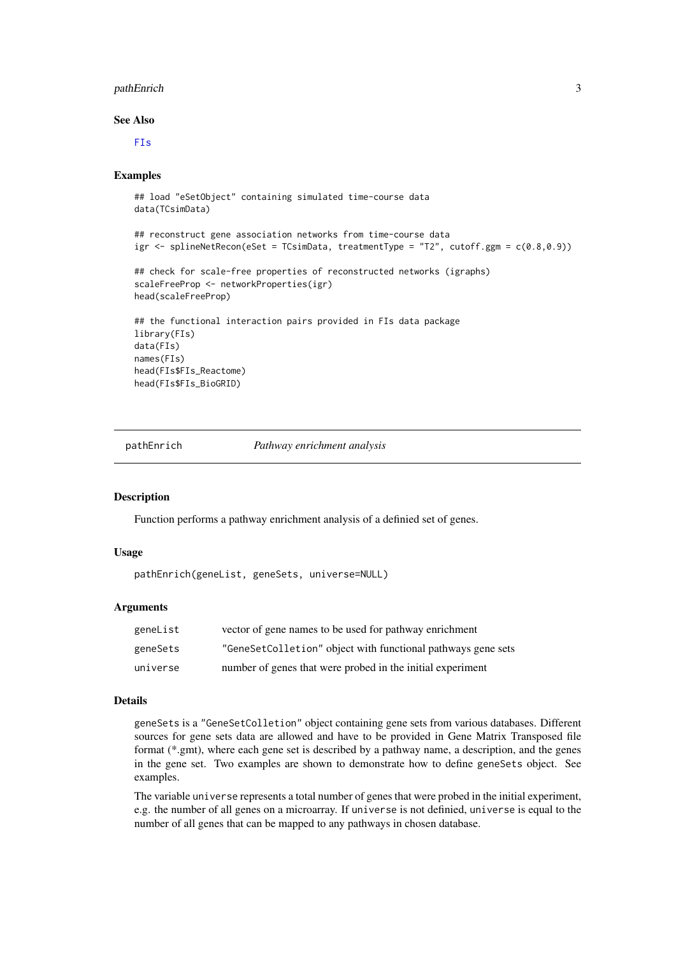#### <span id="page-2-0"></span>pathEnrich 3

#### See Also

[FIs](#page-0-0)

#### Examples

```
## load "eSetObject" containing simulated time-course data
data(TCsimData)
## reconstruct gene association networks from time-course data
igr \le splineNetRecon(eSet = TCsimData, treatmentType = "T2", cutoff.ggm = c(0.8, 0.9))
## check for scale-free properties of reconstructed networks (igraphs)
scaleFreeProp <- networkProperties(igr)
head(scaleFreeProp)
## the functional interaction pairs provided in FIs data package
library(FIs)
data(FIs)
names(FIs)
head(FIs$FIs_Reactome)
head(FIs$FIs_BioGRID)
```
pathEnrich *Pathway enrichment analysis*

#### Description

Function performs a pathway enrichment analysis of a definied set of genes.

#### Usage

```
pathEnrich(geneList, geneSets, universe=NULL)
```
#### Arguments

| geneList | vector of gene names to be used for pathway enrichment       |
|----------|--------------------------------------------------------------|
| geneSets | "GeneSetColletion" object with functional pathways gene sets |
| universe | number of genes that were probed in the initial experiment   |

#### Details

geneSets is a "GeneSetColletion" object containing gene sets from various databases. Different sources for gene sets data are allowed and have to be provided in Gene Matrix Transposed file format (\*.gmt), where each gene set is described by a pathway name, a description, and the genes in the gene set. Two examples are shown to demonstrate how to define geneSets object. See examples.

The variable universe represents a total number of genes that were probed in the initial experiment, e.g. the number of all genes on a microarray. If universe is not definied, universe is equal to the number of all genes that can be mapped to any pathways in chosen database.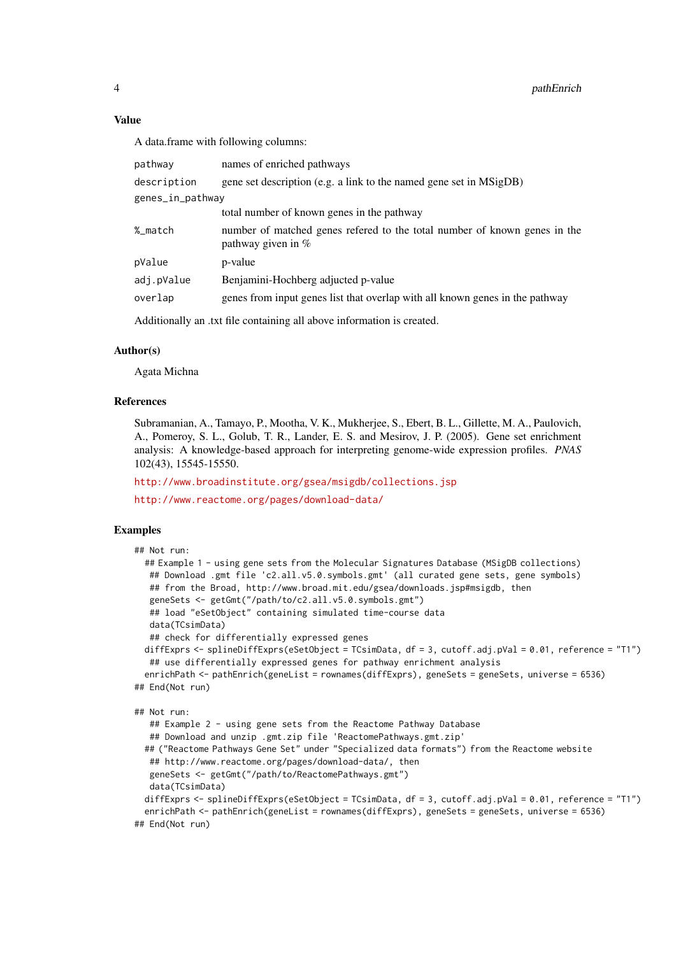#### Value

A data.frame with following columns:

| pathway                                                                | names of enriched pathways                                                                        |  |  |  |  |  |  |  |
|------------------------------------------------------------------------|---------------------------------------------------------------------------------------------------|--|--|--|--|--|--|--|
| description                                                            | gene set description (e.g. a link to the named gene set in MSigDB)                                |  |  |  |  |  |  |  |
| genes_in_pathway                                                       |                                                                                                   |  |  |  |  |  |  |  |
|                                                                        | total number of known genes in the pathway                                                        |  |  |  |  |  |  |  |
| %_match                                                                | number of matched genes refered to the total number of known genes in the<br>pathway given in $%$ |  |  |  |  |  |  |  |
| pValue                                                                 | p-value                                                                                           |  |  |  |  |  |  |  |
| adj.pValue                                                             | Benjamini-Hochberg adjucted p-value                                                               |  |  |  |  |  |  |  |
| overlap                                                                | genes from input genes list that overlap with all known genes in the pathway                      |  |  |  |  |  |  |  |
| Additionally an .txt file containing all above information is created. |                                                                                                   |  |  |  |  |  |  |  |

#### Author(s)

Agata Michna

#### References

Subramanian, A., Tamayo, P., Mootha, V. K., Mukherjee, S., Ebert, B. L., Gillette, M. A., Paulovich, A., Pomeroy, S. L., Golub, T. R., Lander, E. S. and Mesirov, J. P. (2005). Gene set enrichment analysis: A knowledge-based approach for interpreting genome-wide expression profiles. *PNAS* 102(43), 15545-15550.

<http://www.broadinstitute.org/gsea/msigdb/collections.jsp>

<http://www.reactome.org/pages/download-data/>

#### Examples

```
## Not run:
  ## Example 1 - using gene sets from the Molecular Signatures Database (MSigDB collections)
  ## Download .gmt file 'c2.all.v5.0.symbols.gmt' (all curated gene sets, gene symbols)
   ## from the Broad, http://www.broad.mit.edu/gsea/downloads.jsp#msigdb, then
   geneSets <- getGmt("/path/to/c2.all.v5.0.symbols.gmt")
   ## load "eSetObject" containing simulated time-course data
   data(TCsimData)
   ## check for differentially expressed genes
  diffExprs <- splineDiffExprs(eSetObject = TCsimData, df = 3, cutoff.adj.pVal = 0.01, reference = "T1")
   ## use differentially expressed genes for pathway enrichment analysis
  enrichPath <- pathEnrich(geneList = rownames(diffExprs), geneSets = geneSets, universe = 6536)
## End(Not run)
```

```
## Not run:
```

```
## Example 2 - using gene sets from the Reactome Pathway Database
   ## Download and unzip .gmt.zip file 'ReactomePathways.gmt.zip'
  ## ("Reactome Pathways Gene Set" under "Specialized data formats") from the Reactome website
  ## http://www.reactome.org/pages/download-data/, then
   geneSets <- getGmt("/path/to/ReactomePathways.gmt")
  data(TCsimData)
  diffExprs <- splineDiffExprs(eSetObject = TCsimData, df = 3, cutoff.adj.pVal = 0.01, reference = "T1")
  enrichPath <- pathEnrich(geneList = rownames(diffExprs), geneSets = geneSets, universe = 6536)
## End(Not run)
```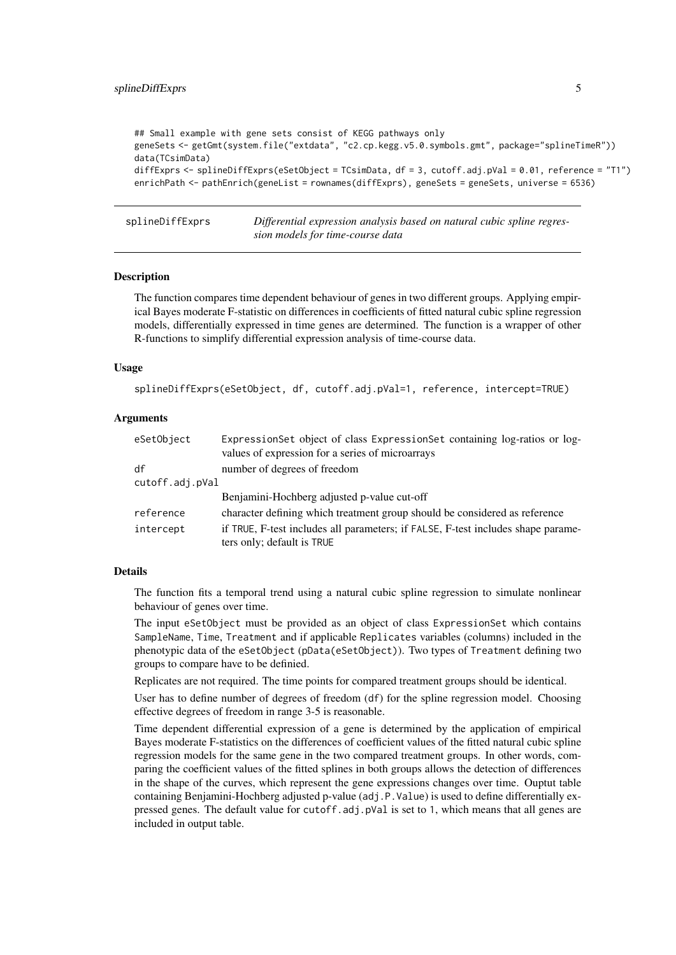```
## Small example with gene sets consist of KEGG pathways only
geneSets <- getGmt(system.file("extdata", "c2.cp.kegg.v5.0.symbols.gmt", package="splineTimeR"))
data(TCsimData)
diffExprs <- splineDiffExprs(eSetObject = TCsimData, df = 3, cutoff.adj.pVal = 0.01, reference = "T1")
enrichPath <- pathEnrich(geneList = rownames(diffExprs), geneSets = geneSets, universe = 6536)
```
splineDiffExprs *Differential expression analysis based on natural cubic spline regression models for time-course data*

#### Description

The function compares time dependent behaviour of genes in two different groups. Applying empirical Bayes moderate F-statistic on differences in coefficients of fitted natural cubic spline regression models, differentially expressed in time genes are determined. The function is a wrapper of other R-functions to simplify differential expression analysis of time-course data.

#### Usage

```
splineDiffExprs(eSetObject, df, cutoff.adj.pVal=1, reference, intercept=TRUE)
```
#### Arguments

| ExpressionSet object of class ExpressionSet containing log-ratios or log-<br>values of expression for a series of microarrays |
|-------------------------------------------------------------------------------------------------------------------------------|
| number of degrees of freedom                                                                                                  |
| cutoff.adj.pVal                                                                                                               |
| Benjamini-Hochberg adjusted p-value cut-off                                                                                   |
| character defining which treatment group should be considered as reference                                                    |
| if TRUE, F-test includes all parameters; if FALSE, F-test includes shape parame-<br>ters only; default is TRUE                |
|                                                                                                                               |

#### Details

The function fits a temporal trend using a natural cubic spline regression to simulate nonlinear behaviour of genes over time.

The input eSetObject must be provided as an object of class ExpressionSet which contains SampleName, Time, Treatment and if applicable Replicates variables (columns) included in the phenotypic data of the eSetObject (pData(eSetObject)). Two types of Treatment defining two groups to compare have to be definied.

Replicates are not required. The time points for compared treatment groups should be identical.

User has to define number of degrees of freedom (df) for the spline regression model. Choosing effective degrees of freedom in range 3-5 is reasonable.

Time dependent differential expression of a gene is determined by the application of empirical Bayes moderate F-statistics on the differences of coefficient values of the fitted natural cubic spline regression models for the same gene in the two compared treatment groups. In other words, comparing the coefficient values of the fitted splines in both groups allows the detection of differences in the shape of the curves, which represent the gene expressions changes over time. Ouptut table containing Benjamini-Hochberg adjusted p-value (adj.P.Value) is used to define differentially expressed genes. The default value for cutoff.adj.pVal is set to 1, which means that all genes are included in output table.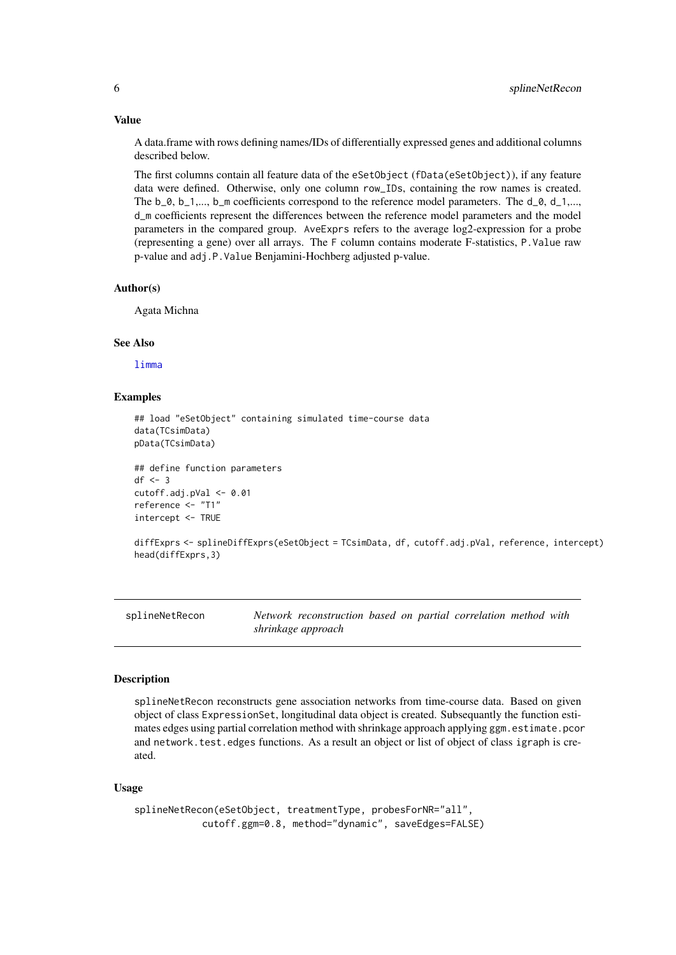#### Value

A data.frame with rows defining names/IDs of differentially expressed genes and additional columns described below.

The first columns contain all feature data of the eSetObject (fData(eSetObject)), if any feature data were defined. Otherwise, only one column row\_IDs, containing the row names is created. The  $b_0$ ,  $b_1, \ldots, b_m$  coefficients correspond to the reference model parameters. The  $d_0$ ,  $d_1, \ldots, d_m$ d\_m coefficients represent the differences between the reference model parameters and the model parameters in the compared group. AveExprs refers to the average log2-expression for a probe (representing a gene) over all arrays. The F column contains moderate F-statistics, P.Value raw p-value and adj.P.Value Benjamini-Hochberg adjusted p-value.

#### Author(s)

Agata Michna

#### See Also

[limma](#page-0-0)

#### Examples

```
## load "eSetObject" containing simulated time-course data
data(TCsimData)
pData(TCsimData)
```

```
## define function parameters
df \leq -3cutoff.adj.pVal <- 0.01
reference <- "T1"
intercept <- TRUE
```

```
diffExprs <- splineDiffExprs(eSetObject = TCsimData, df, cutoff.adj.pVal, reference, intercept)
head(diffExprs,3)
```
splineNetRecon *Network reconstruction based on partial correlation method with shrinkage approach*

#### **Description**

splineNetRecon reconstructs gene association networks from time-course data. Based on given object of class ExpressionSet, longitudinal data object is created. Subsequantly the function estimates edges using partial correlation method with shrinkage approach applying ggm.estimate.pcor and network.test.edges functions. As a result an object or list of object of class igraph is created.

#### Usage

```
splineNetRecon(eSetObject, treatmentType, probesForNR="all",
           cutoff.ggm=0.8, method="dynamic", saveEdges=FALSE)
```
<span id="page-5-0"></span>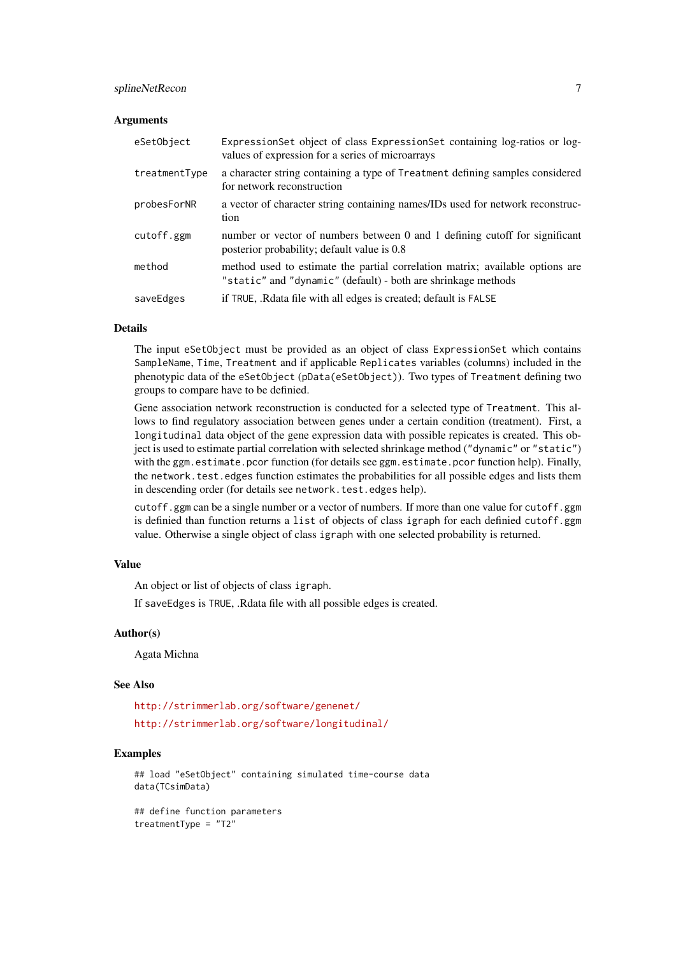#### splineNetRecon 7

#### Arguments

| eSetObject    | ExpressionSet object of class ExpressionSet containing log-ratios or log-<br>values of expression for a series of microarrays                  |
|---------------|------------------------------------------------------------------------------------------------------------------------------------------------|
| treatmentType | a character string containing a type of Treatment defining samples considered<br>for network reconstruction                                    |
| probesForNR   | a vector of character string containing names/IDs used for network reconstruc-<br>tion                                                         |
| cutoff.ggm    | number or vector of numbers between 0 and 1 defining cutoff for significant<br>posterior probability; default value is 0.8                     |
| method        | method used to estimate the partial correlation matrix; available options are<br>"static" and "dynamic" (default) - both are shrinkage methods |
| saveEdges     | if TRUE, .Rdata file with all edges is created; default is FALSE                                                                               |

#### Details

The input eSetObject must be provided as an object of class ExpressionSet which contains SampleName, Time, Treatment and if applicable Replicates variables (columns) included in the phenotypic data of the eSetObject (pData(eSetObject)). Two types of Treatment defining two groups to compare have to be definied.

Gene association network reconstruction is conducted for a selected type of Treatment. This allows to find regulatory association between genes under a certain condition (treatment). First, a longitudinal data object of the gene expression data with possible repicates is created. This object is used to estimate partial correlation with selected shrinkage method ("dynamic" or "static") with the ggm.estimate.pcor function (for details see ggm.estimate.pcor function help). Finally, the network.test.edges function estimates the probabilities for all possible edges and lists them in descending order (for details see network.test.edges help).

cutoff.ggm can be a single number or a vector of numbers. If more than one value for cutoff.ggm is definied than function returns a list of objects of class igraph for each definied cutoff.ggm value. Otherwise a single object of class igraph with one selected probability is returned.

#### Value

An object or list of objects of class igraph.

If saveEdges is TRUE, .Rdata file with all possible edges is created.

#### Author(s)

Agata Michna

#### See Also

<http://strimmerlab.org/software/genenet/> <http://strimmerlab.org/software/longitudinal/>

#### Examples

```
## load "eSetObject" containing simulated time-course data
data(TCsimData)
```
## define function parameters treatmentType = "T2"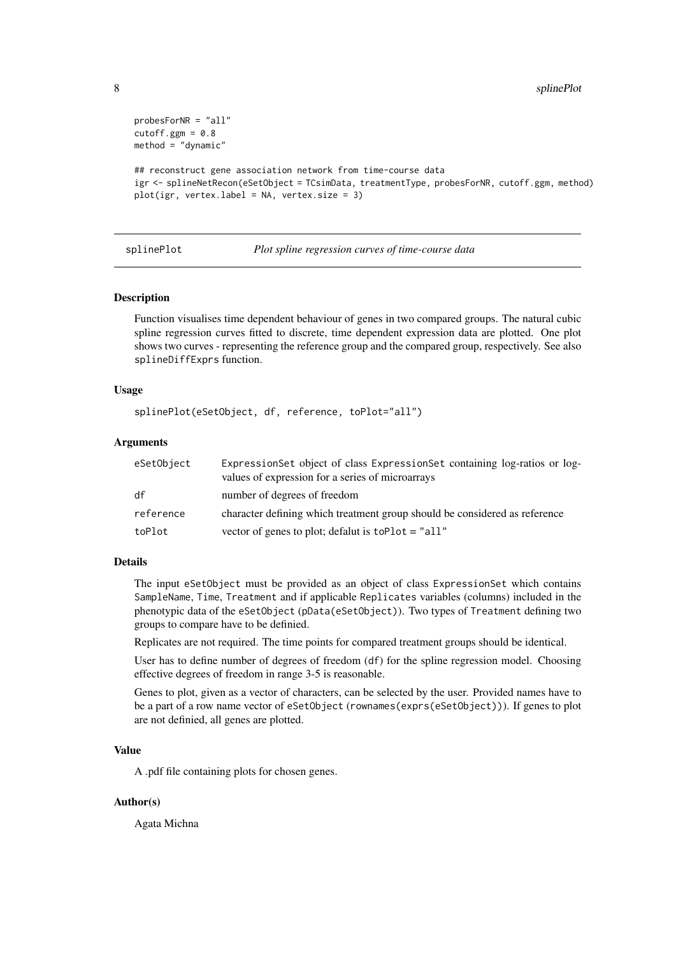```
probesForNR = "all"
cutoff.ggm = 0.8method = "dynamic"
## reconstruct gene association network from time-course data
igr <- splineNetRecon(eSetObject = TCsimData, treatmentType, probesForNR, cutoff.ggm, method)
plot(igr, vertex.label = NA, vertex.size = 3)
```
#### splinePlot *Plot spline regression curves of time-course data*

#### Description

Function visualises time dependent behaviour of genes in two compared groups. The natural cubic spline regression curves fitted to discrete, time dependent expression data are plotted. One plot shows two curves - representing the reference group and the compared group, respectively. See also splineDiffExprs function.

#### Usage

```
splinePlot(eSetObject, df, reference, toPlot="all")
```
#### Arguments

| eSetObject | ExpressionSet object of class ExpressionSet containing log-ratios or log-<br>values of expression for a series of microarrays |
|------------|-------------------------------------------------------------------------------------------------------------------------------|
| df         | number of degrees of freedom                                                                                                  |
| reference  | character defining which treatment group should be considered as reference                                                    |
| toPlot     | vector of genes to plot; defalut is $toPlot = "all"$                                                                          |

#### Details

The input eSetObject must be provided as an object of class ExpressionSet which contains SampleName, Time, Treatment and if applicable Replicates variables (columns) included in the phenotypic data of the eSetObject (pData(eSetObject)). Two types of Treatment defining two groups to compare have to be definied.

Replicates are not required. The time points for compared treatment groups should be identical.

User has to define number of degrees of freedom (df) for the spline regression model. Choosing effective degrees of freedom in range 3-5 is reasonable.

Genes to plot, given as a vector of characters, can be selected by the user. Provided names have to be a part of a row name vector of eSetObject (rownames(exprs(eSetObject))). If genes to plot are not definied, all genes are plotted.

#### Value

A .pdf file containing plots for chosen genes.

#### Author(s)

Agata Michna

<span id="page-7-0"></span>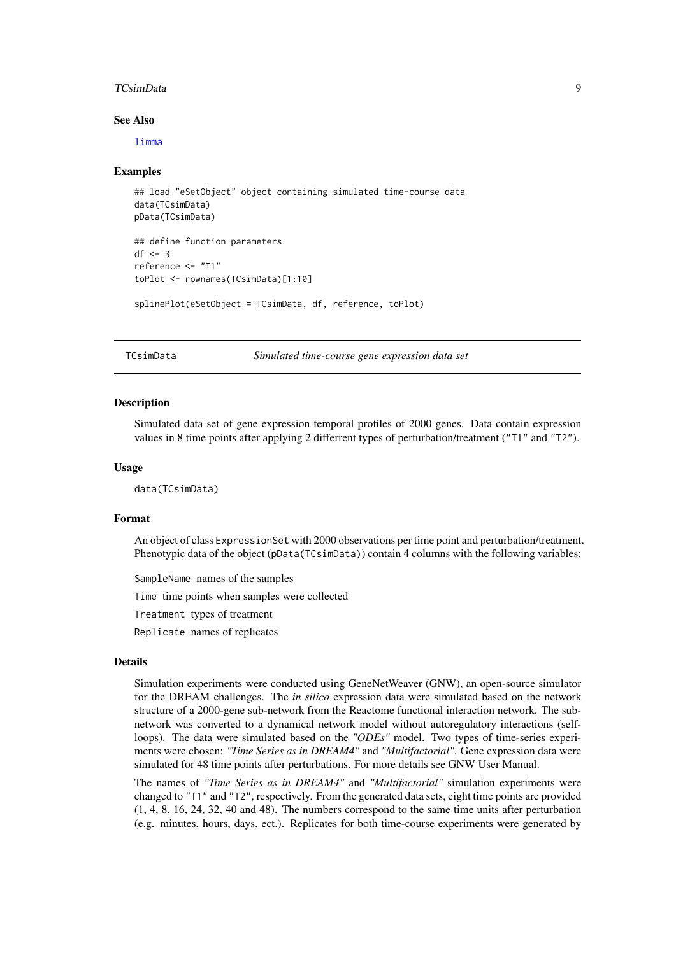#### <span id="page-8-0"></span>TCsimData 9

#### See Also

[limma](#page-0-0)

#### Examples

```
## load "eSetObject" object containing simulated time-course data
data(TCsimData)
pData(TCsimData)
## define function parameters
df \leftarrow 3reference <- "T1"
toPlot <- rownames(TCsimData)[1:10]
splinePlot(eSetObject = TCsimData, df, reference, toPlot)
```
TCsimData *Simulated time-course gene expression data set*

#### Description

Simulated data set of gene expression temporal profiles of 2000 genes. Data contain expression values in 8 time points after applying 2 differrent types of perturbation/treatment ("T1" and "T2").

#### Usage

data(TCsimData)

#### Format

An object of class ExpressionSet with 2000 observations per time point and perturbation/treatment. Phenotypic data of the object (pData(TCsimData)) contain 4 columns with the following variables:

SampleName names of the samples

Time time points when samples were collected

Treatment types of treatment

Replicate names of replicates

#### Details

Simulation experiments were conducted using GeneNetWeaver (GNW), an open-source simulator for the DREAM challenges. The *in silico* expression data were simulated based on the network structure of a 2000-gene sub-network from the Reactome functional interaction network. The subnetwork was converted to a dynamical network model without autoregulatory interactions (selfloops). The data were simulated based on the *"ODEs"* model. Two types of time-series experiments were chosen: *"Time Series as in DREAM4"* and *"Multifactorial"*. Gene expression data were simulated for 48 time points after perturbations. For more details see GNW User Manual.

The names of *"Time Series as in DREAM4"* and *"Multifactorial"* simulation experiments were changed to "T1" and "T2", respectively. From the generated data sets, eight time points are provided (1, 4, 8, 16, 24, 32, 40 and 48). The numbers correspond to the same time units after perturbation (e.g. minutes, hours, days, ect.). Replicates for both time-course experiments were generated by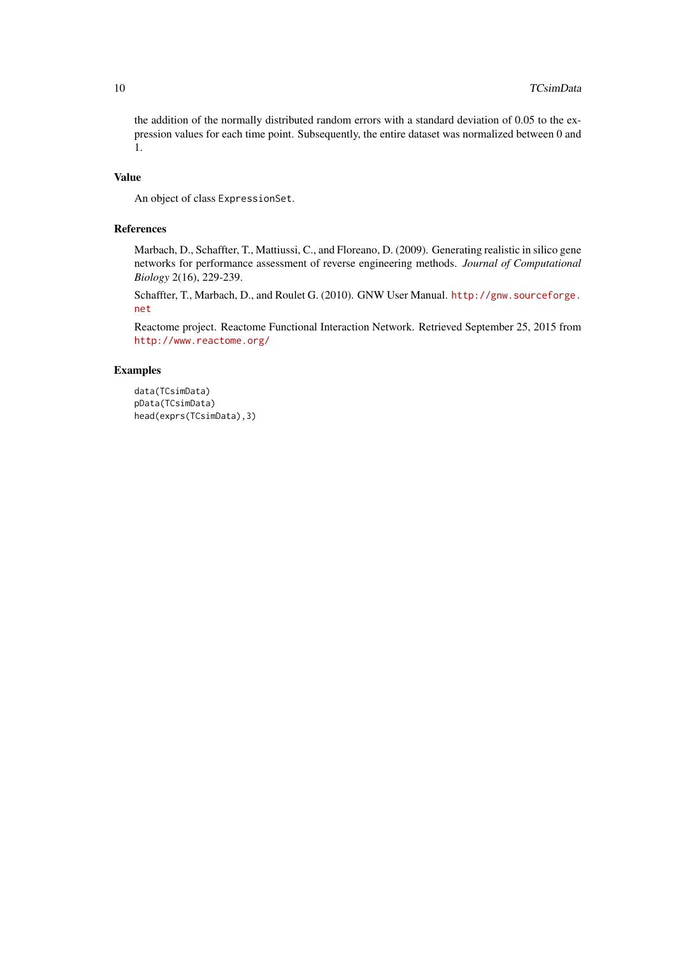the addition of the normally distributed random errors with a standard deviation of 0.05 to the expression values for each time point. Subsequently, the entire dataset was normalized between 0 and 1.

#### Value

An object of class ExpressionSet.

#### References

Marbach, D., Schaffter, T., Mattiussi, C., and Floreano, D. (2009). Generating realistic in silico gene networks for performance assessment of reverse engineering methods. *Journal of Computational Biology* 2(16), 229-239.

Schaffter, T., Marbach, D., and Roulet G. (2010). GNW User Manual. [http://gnw.sourceforge.](http://gnw.sourceforge.net) [net](http://gnw.sourceforge.net)

Reactome project. Reactome Functional Interaction Network. Retrieved September 25, 2015 from <http://www.reactome.org/>

#### Examples

```
data(TCsimData)
pData(TCsimData)
head(exprs(TCsimData),3)
```